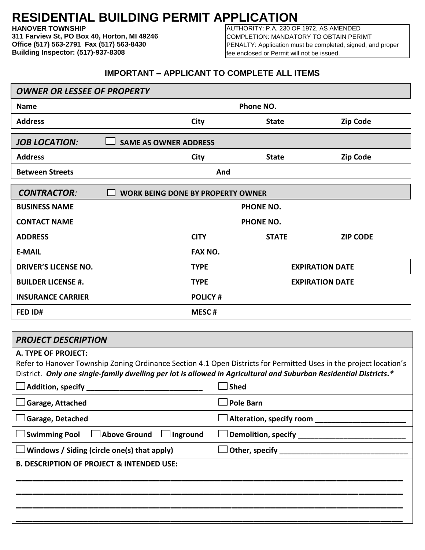## **RESIDENTIAL BUILDING PERMIT APPLICATION**

**HANOVER TOWNSHIP**

**311 Farview St, PO Box 40, Horton, MI 49246 Office (517) 563-2791 Fax (517) 563-8430 Building Inspector: (517)-937-8308**

AUTHORITY: P.A. 230 OF 1972, AS AMENDED COMPLETION: MANDATORY TO OBTAIN PERIMT PENALTY: Application must be completed, signed, and proper fee enclosed or Permit will not be issued.

## **IMPORTANT – APPLICANT TO COMPLETE ALL ITEMS**

| <b>OWNER OR LESSEE OF PROPERTY</b>                             |                  |              |                        |  |  |  |  |  |
|----------------------------------------------------------------|------------------|--------------|------------------------|--|--|--|--|--|
| <b>Name</b>                                                    | Phone NO.        |              |                        |  |  |  |  |  |
| <b>Address</b>                                                 | <b>City</b>      | <b>State</b> | <b>Zip Code</b>        |  |  |  |  |  |
| <b>JOB LOCATION:</b><br><b>SAME AS OWNER ADDRESS</b>           |                  |              |                        |  |  |  |  |  |
| <b>Address</b>                                                 | City             | <b>State</b> | <b>Zip Code</b>        |  |  |  |  |  |
| <b>Between Streets</b>                                         | And              |              |                        |  |  |  |  |  |
| <b>CONTRACTOR:</b><br><b>WORK BEING DONE BY PROPERTY OWNER</b> |                  |              |                        |  |  |  |  |  |
| <b>BUSINESS NAME</b>                                           | <b>PHONE NO.</b> |              |                        |  |  |  |  |  |
| <b>CONTACT NAME</b>                                            | <b>PHONE NO.</b> |              |                        |  |  |  |  |  |
| <b>ADDRESS</b>                                                 | <b>CITY</b>      | <b>STATE</b> | <b>ZIP CODE</b>        |  |  |  |  |  |
| <b>E-MAIL</b>                                                  | <b>FAX NO.</b>   |              |                        |  |  |  |  |  |
| <b>DRIVER'S LICENSE NO.</b>                                    | <b>TYPE</b>      |              | <b>EXPIRATION DATE</b> |  |  |  |  |  |
| <b>BUILDER LICENSE #.</b>                                      | <b>TYPE</b>      |              | <b>EXPIRATION DATE</b> |  |  |  |  |  |
| <b>INSURANCE CARRIER</b>                                       | <b>POLICY#</b>   |              |                        |  |  |  |  |  |
| FED ID#                                                        | <b>MESC#</b>     |              |                        |  |  |  |  |  |
|                                                                |                  |              |                        |  |  |  |  |  |

## *PROJECT DESCRIPTION*

## **A. TYPE OF PROJECT:**

Refer to Hanover Township Zoning Ordinance Section 4.1 Open Districts for Permitted Uses in the project location's District. *Only one single-family dwelling per lot is allowed in Agricultural and Suburban Residential Districts.\**

| $\Box$ Addition, specify _                               | $\Box$ Shed      |  |  |  |
|----------------------------------------------------------|------------------|--|--|--|
| $\Box$ Garage, Attached                                  | $\Box$ Pole Barn |  |  |  |
| $\Box$ Garage, Detached                                  |                  |  |  |  |
| $\Box$ Swimming Pool $\Box$ Above Ground $\Box$ Inground |                  |  |  |  |
| $\Box$ Windows / Siding (circle one(s) that apply)       |                  |  |  |  |
| <b>B. DESCRIPTION OF PROJECT &amp; INTENDED USE:</b>     |                  |  |  |  |
|                                                          |                  |  |  |  |
|                                                          |                  |  |  |  |
|                                                          |                  |  |  |  |
|                                                          |                  |  |  |  |